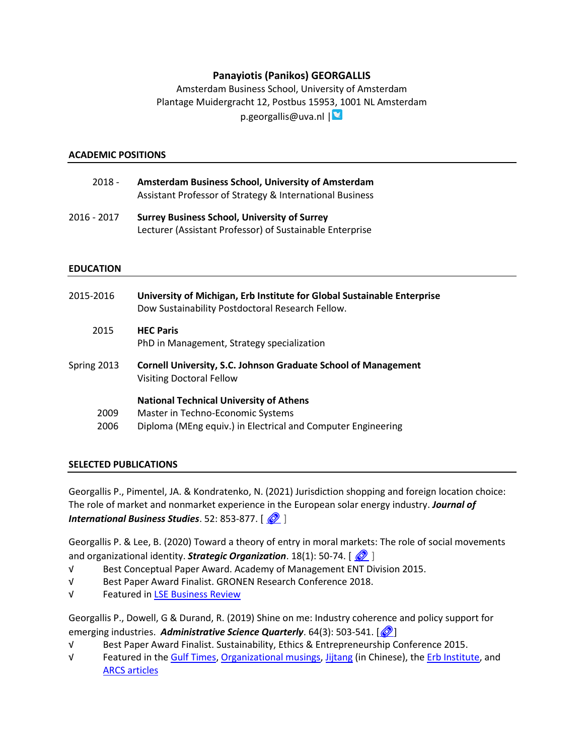# **Panayiotis (Panikos) GEORGALLIS**

Amsterdam Business School, University of Amsterdam Plantage Muidergracht 12, Postbus 1595[3, 1](https://twitter.com/panikosgeor)001 NL Amsterdam

p.georgallis@uva.nl |

### **ACADEMIC POSITIONS**

- 2018 **Amsterdam Business School, University of Amsterdam** Assistant Professor of Strategy & International Business
- 2016 2017 **Surrey Business School, University of Surrey** Lecturer (Assistant Professor) of Sustainable Enterprise

### **EDUCATION**

| 2015-2016    | University of Michigan, Erb Institute for Global Sustainable Enterprise<br>Dow Sustainability Postdoctoral Research Fellow.                         |
|--------------|-----------------------------------------------------------------------------------------------------------------------------------------------------|
| 2015         | <b>HEC Paris</b><br>PhD in Management, Strategy specialization                                                                                      |
| Spring 2013  | <b>Cornell University, S.C. Johnson Graduate School of Management</b><br><b>Visiting Doctoral Fellow</b>                                            |
| 2009<br>2006 | <b>National Technical University of Athens</b><br>Master in Techno-Economic Systems<br>Diploma (MEng equiv.) in Electrical and Computer Engineering |

# **SELECTED PUBLICATIONS**

Georgallis P., Pimentel, JA. & Kondratenko, N. (2021) Jurisdiction shopping and foreign location choice: The role of market and nonmarket experience in the European solar energy industry. *Journal of International Business Studies*. 52: 853-877.  $\left[\frac{\circled{}}{\bullet}\right]$ 

Georgallis P. & Lee, B. (2020) Toward a theory of entry in moral markets: The role of social movements and organizational identity. *Strategic Organization*. 18(1): 50-74.  $\left[\frac{\mathcal{O}}{\mathcal{O}}\right]$ 

- √ Best Conceptual Paper Award. Academy of Management ENT Division 2015.
- √ Best Paper Award Finalist. GRONEN Research Conference 2018.
- √ Featured i[n LSE Business Review](https://blogs.lse.ac.uk/businessreview/2020/07/02/why-do-companies-as-diverse-as-oil-producers-and-retailers-enter-moral-markets/)

Georgallis P., Dowell, G & Durand, R. (2019) Shine on me: Industry coherence and policy support for emerging industries. Administrative Science Quarterly. 64(3): 503-541. [<sup>20</sup>]

- √ Best Paper Award Finalist. Sustainability, Ethics & Entrepreneurship Conference 2015.
- √ Featured in the [Gulf Times,](https://www.gulf-times.com/story/603978/How-emerging-industries-can-secure-state-support) [Organizational musings,](http://www.organizationalmusings.com/2018/05/save-planet-or-grow-our-economy.html) [Jijtang](https://mp.weixin.qq.com/s/yV7XaWjmxdyjekQMhFAELg) (in Chinese), th[e Erb Institute,](https://erb.umich.edu/2018/11/07/shining-a-light-on-government-support-of-emerging-industries-new-research-by-former-postdoc-panikos-georgallis/) and [ARCS articles](https://corporate-sustainability.org/how-can-emerging-industries-secure-state-support/)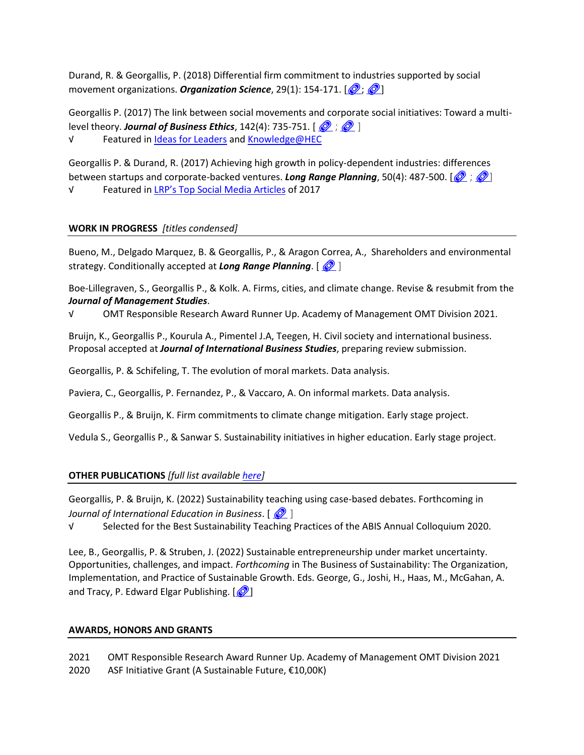Durand, R. & Georgallis, P. (2018) Differential firm commitment to industries supported by social movement organizations. *Organization Science*, 29(1): 154-171. [<sup>2</sup>; <sup>2</sup>]

Georgallis P. (2017) The link between social movements and corporate social initiatives: Toward a multilevel theory. **Journal of Business Ethics**, 142(4): 735-751.  $\begin{bmatrix} \mathcal{O} & \mathcal{O} \end{bmatrix}$ 

√ [Featured in Ideas for Leaders](https://www.ideasforleaders.com/ideas/how-social-movements-spark-corporate-social-responsibility-initiatives) [and Knowledge@HEC](http://www.hec.edu/Knowledge/Strategy-Management/Corporate-Strategy/How-activists-shape-business-and-corporate-strategy)

Georgallis P. & Durand, R. (2017) Achieving high growth in policy-dependent industries: differences between startups and corporate-backed ventures. *Long Range Planning*, 50(4): 487-500. [ $\circled{?}$  ;  $\circled{?}$ ] √ Featured in [LRP's Top Social Media Articles](https://www.journals.elsevier.com/long-range-planning/top-articles?utm_campaign=STMJ_65335_PTS_TA_AM&utm_channel=email&utm_source=STMJstep1fulllist&utm_acid=40100852&SIS_ID=0&dgcid=STMJ_65335_PTS_TA_AM&utm_in=%20DM208677%20) of 2017

# **WORK IN PROGRESS** *[titles condensed]*

Bueno, M., Delgado Marquez, B. & Georgallis, P., & Aragon Correa, A., Shareholders and environmental strategy. Conditionally accepted at *Long Range Planning*. []

Boe-Lillegraven, S., Georgallis P., & Kolk. A. Firms, cities, and climate change. Revise & resubmit from the *Journal of Management Studies*.

√ OMT Responsible Research Award Runner Up. Academy of Management OMT Division 2021.

Bruijn, K., Georgallis P., Kourula A., Pimentel J.A, Teegen, H. Civil society and international business. Proposal accepted at *Journal of International Business Studies*, preparing review submission.

Georgallis, P. & Schifeling, T. The evolution of moral markets. Data analysis.

Paviera, C., Georgallis, P. Fernandez, P., & Vaccaro, A. On informal markets. Data analysis.

Georgallis P., & Bruijn, K. Firm commitments to climate change mitigation. Early stage project.

Vedula S., Georgallis P., & Sanwar S. Sustainability initiatives in higher education. Early stage project.

# **OTHER PUBLICATIONS** *[full list available [here\]](https://scholar.google.co.uk/citations?hl=en&user=GxYeG7oAAAAJ&view_op=list_works&sortby=pubdate)*

Georgallis, P. & Bruijn, K. (2022) Sustainability teaching using case-based debates. Forthcoming in *Journal of International Education in Business.*  $\sqrt{2}$  1

√ Selected for the Best Sustainability Teaching Practices of the ABIS Annual Colloquium 2020.

Lee, B., Georgallis, P. & Struben, J. (2022) Sustainable entrepreneurship under market uncertainty. Opportunities, challenges, and impact. *Forthcoming* in The Business of Sustainability: The Organization, Implementation, and Practice of Sustainable Growth. Eds. George, G., Joshi, H., Haas, M., McGahan, A. and Tracy, P. Edward Elgar Publishing.  $\sqrt{\frac{1}{2}}$ 

# **AWARDS, HONORS AND GRANTS**

2021 OMT Responsible Research Award Runner Up. Academy of Management OMT Division 2021 2020 ASF Initiative Grant (A Sustainable Future, €10,00K)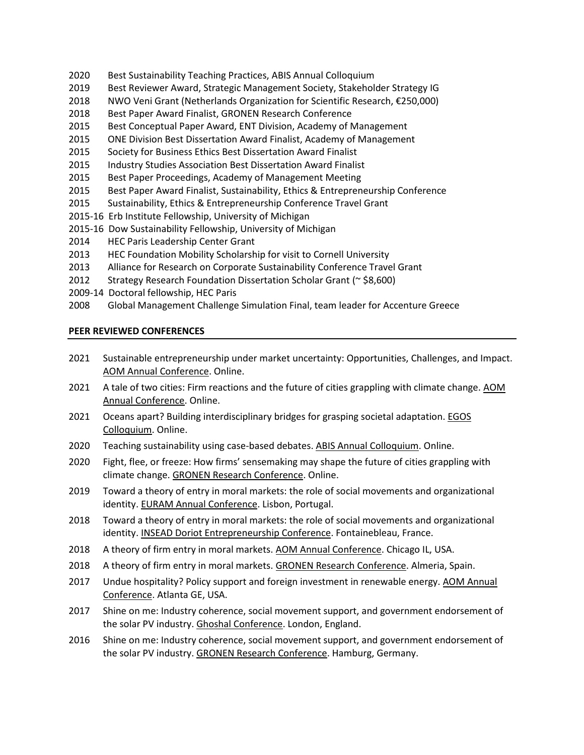- 2020 Best Sustainability Teaching Practices, ABIS Annual Colloquium
- 2019 Best Reviewer Award, Strategic Management Society, Stakeholder Strategy IG
- 2018 NWO Veni Grant (Netherlands Organization for Scientific Research, €250,000)
- 2018 Best Paper Award Finalist, GRONEN Research Conference
- 2015 Best Conceptual Paper Award, ENT Division, Academy of Management
- 2015 ONE Division Best Dissertation Award Finalist, Academy of Management
- 2015 Society for Business Ethics Best Dissertation Award Finalist
- 2015 Industry Studies Association Best Dissertation Award Finalist
- 2015 Best Paper Proceedings, Academy of Management Meeting
- 2015 Best Paper Award Finalist, Sustainability, Ethics & Entrepreneurship Conference
- 2015 Sustainability, Ethics & Entrepreneurship Conference Travel Grant
- 2015-16 Erb Institute Fellowship, University of Michigan
- 2015-16 Dow Sustainability Fellowship, University of Michigan
- 2014 HEC Paris Leadership Center Grant
- 2013 HEC Foundation Mobility Scholarship for visit to Cornell University
- 2013 Alliance for Research on Corporate Sustainability Conference Travel Grant
- 2012 Strategy Research Foundation Dissertation Scholar Grant (~ \$8,600)
- 2009-14 Doctoral fellowship, HEC Paris
- 2008 Global Management Challenge Simulation Final, team leader for Accenture Greece

### **PEER REVIEWED CONFERENCES**

- 2021 Sustainable entrepreneurship under market uncertainty: Opportunities, Challenges, and Impact. AOM Annual Conference. Online.
- 2021 A tale of two cities: Firm reactions and the future of cities grappling with climate change. AOM Annual Conference. Online.
- 2021 Oceans apart? Building interdisciplinary bridges for grasping societal adaptation. EGOS Colloquium. Online.
- 2020 Teaching sustainability using case-based debates. ABIS Annual Colloquium. Online.
- 2020 Fight, flee, or freeze: How firms' sensemaking may shape the future of cities grappling with climate change. GRONEN Research Conference. Online.
- 2019 Toward a theory of entry in moral markets: the role of social movements and organizational identity. EURAM Annual Conference. Lisbon, Portugal.
- 2018 Toward a theory of entry in moral markets: the role of social movements and organizational identity. INSEAD Doriot Entrepreneurship Conference. Fontainebleau, France.
- 2018 A theory of firm entry in moral markets. AOM Annual Conference. Chicago IL, USA.
- 2018 A theory of firm entry in moral markets. GRONEN Research Conference. Almeria, Spain.
- 2017 Undue hospitality? Policy support and foreign investment in renewable energy. AOM Annual Conference. Atlanta GE, USA.
- 2017 Shine on me: Industry coherence, social movement support, and government endorsement of the solar PV industry. Ghoshal Conference. London, England.
- 2016 Shine on me: Industry coherence, social movement support, and government endorsement of the solar PV industry. GRONEN Research Conference. Hamburg, Germany.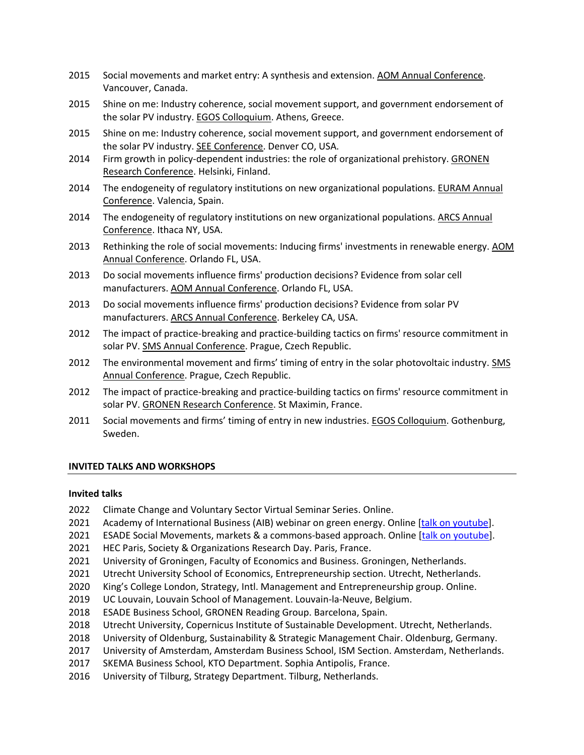- 2015 Social movements and market entry: A synthesis and extension. AOM Annual Conference. Vancouver, Canada.
- 2015 Shine on me: Industry coherence, social movement support, and government endorsement of the solar PV industry. EGOS Colloquium. Athens, Greece.
- 2015 Shine on me: Industry coherence, social movement support, and government endorsement of the solar PV industry. SEE Conference. Denver CO, USA.
- 2014 Firm growth in policy-dependent industries: the role of organizational prehistory. GRONEN Research Conference. Helsinki, Finland.
- 2014 The endogeneity of regulatory institutions on new organizational populations. EURAM Annual Conference. Valencia, Spain.
- 2014 The endogeneity of regulatory institutions on new organizational populations. ARCS Annual Conference. Ithaca NY, USA.
- 2013 Rethinking the role of social movements: Inducing firms' investments in renewable energy. AOM Annual Conference. Orlando FL, USA.
- 2013 Do social movements influence firms' production decisions? Evidence from solar cell manufacturers. AOM Annual Conference. Orlando FL, USA.
- 2013 Do social movements influence firms' production decisions? Evidence from solar PV manufacturers. ARCS Annual Conference. Berkeley CA, USA.
- 2012 The impact of practice-breaking and practice-building tactics on firms' resource commitment in solar PV. SMS Annual Conference. Prague, Czech Republic.
- 2012 The environmental movement and firms' timing of entry in the solar photovoltaic industry. SMS Annual Conference. Prague, Czech Republic.
- 2012 The impact of practice-breaking and practice-building tactics on firms' resource commitment in solar PV. GRONEN Research Conference. St Maximin, France.
- 2011 Social movements and firms' timing of entry in new industries. EGOS Colloquium. Gothenburg, Sweden.

# **INVITED TALKS AND WORKSHOPS**

### **Invited talks**

- 2022 Climate Change and Voluntary Sector Virtual Seminar Series. Online.
- 2021 Academy of International Business (AIB) webinar on green energy. Online [\[talk on youtube\]](https://www.youtube.com/watch?v=W4URqBjun0M&t=99s).
- 2021 ESADE Social Movements, markets & a commons-based approach. Online [\[talk on youtube\]](https://www.youtube.com/watch?v=BAwa7n-i7dE).
- 2021 HEC Paris, Society & Organizations Research Day. Paris, France.
- 2021 University of Groningen, Faculty of Economics and Business. Groningen, Netherlands.
- 2021 Utrecht University School of Economics, Entrepreneurship section. Utrecht, Netherlands.
- 2020 King's College London, Strategy, Intl. Management and Entrepreneurship group. Online.
- 2019 UC Louvain, Louvain School of Management. Louvain-la-Neuve, Belgium.
- 2018 ESADE Business School, GRONEN Reading Group. Barcelona, Spain.
- 2018 Utrecht University, Copernicus Institute of Sustainable Development. Utrecht, Netherlands.
- 2018 University of Oldenburg, Sustainability & Strategic Management Chair. Oldenburg, Germany.
- 2017 University of Amsterdam, Amsterdam Business School, ISM Section. Amsterdam, Netherlands.
- 2017 SKEMA Business School, KTO Department. Sophia Antipolis, France.
- 2016 University of Tilburg, Strategy Department. Tilburg, Netherlands.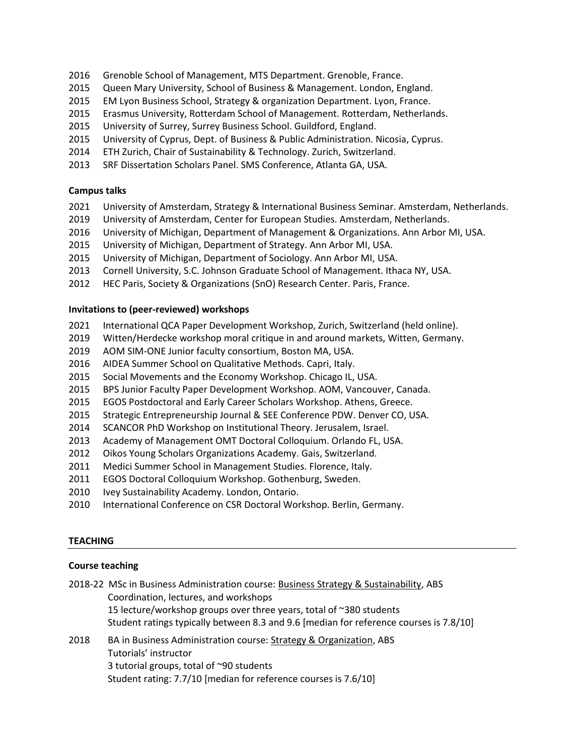- Grenoble School of Management, MTS Department. Grenoble, France.
- Queen Mary University, School of Business & Management. London, England.
- EM Lyon Business School, Strategy & organization Department. Lyon, France.
- Erasmus University, Rotterdam School of Management. Rotterdam, Netherlands.
- University of Surrey, Surrey Business School. Guildford, England.
- University of Cyprus, Dept. of Business & Public Administration. Nicosia, Cyprus.
- ETH Zurich, Chair of Sustainability & Technology. Zurich, Switzerland.
- SRF Dissertation Scholars Panel. SMS Conference, Atlanta GA, USA.

# **Campus talks**

- University of Amsterdam, Strategy & International Business Seminar. Amsterdam, Netherlands.
- University of Amsterdam, Center for European Studies. Amsterdam, Netherlands.
- University of Michigan, Department of Management & Organizations. Ann Arbor MI, USA.
- University of Michigan, Department of Strategy. Ann Arbor MI, USA.
- University of Michigan, Department of Sociology. Ann Arbor MI, USA.
- Cornell University, S.C. Johnson Graduate School of Management. Ithaca NY, USA.
- HEC Paris, Society & Organizations (SnO) Research Center. Paris, France.

# **Invitations to (peer-reviewed) workshops**

- International QCA Paper Development Workshop, Zurich, Switzerland (held online).
- Witten/Herdecke workshop moral critique in and around markets, Witten, Germany.
- AOM SIM-ONE Junior faculty consortium, Boston MA, USA.
- AIDEA Summer School on Qualitative Methods. Capri, Italy.
- Social Movements and the Economy Workshop. Chicago IL, USA.
- BPS Junior Faculty Paper Development Workshop. AOM, Vancouver, Canada.
- EGOS Postdoctoral and Early Career Scholars Workshop. Athens, Greece.
- Strategic Entrepreneurship Journal & SEE Conference PDW. Denver CO, USA.
- SCANCOR PhD Workshop on Institutional Theory. Jerusalem, Israel.
- Academy of Management OMT Doctoral Colloquium. Orlando FL, USA.
- Oikos Young Scholars Organizations Academy. Gais, Switzerland.
- Medici Summer School in Management Studies. Florence, Italy.
- EGOS Doctoral Colloquium Workshop. Gothenburg, Sweden.
- 2010 Ivey Sustainability Academy. London, Ontario.
- International Conference on CSR Doctoral Workshop. Berlin, Germany.

# **TEACHING**

# **Course teaching**

- 2018-22 MSc in Business Administration course: Business Strategy & Sustainability, ABS Coordination, lectures, and workshops lecture/workshop groups over three years, total of ~380 students Student ratings typically between 8.3 and 9.6 [median for reference courses is 7.8/10]
- 2018 BA in Business Administration course: Strategy & Organization, ABS Tutorials' instructor 3 tutorial groups, total of ~90 students Student rating: 7.7/10 [median for reference courses is 7.6/10]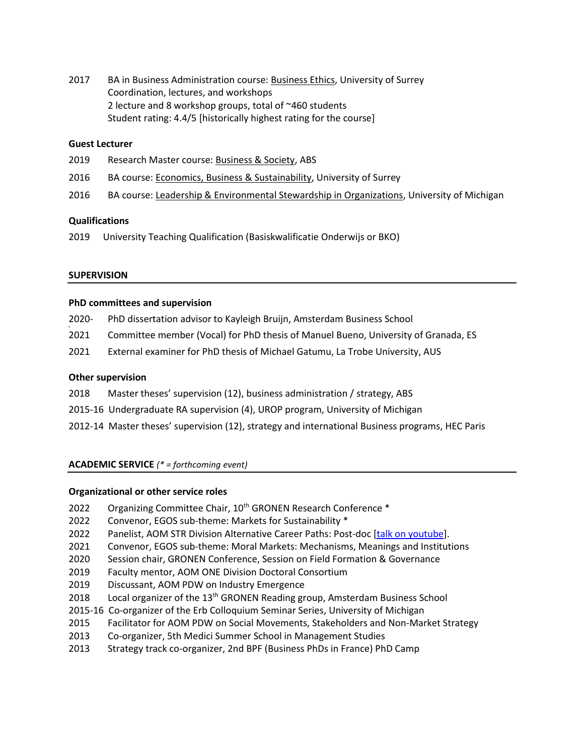2017 BA in Business Administration course: Business Ethics, University of Surrey Coordination, lectures, and workshops 2 lecture and 8 workshop groups, total of ~460 students Student rating: 4.4/5 [historically highest rating for the course]

### **Guest Lecturer**

- 2019 Research Master course: Business & Society, ABS
- 2016 BA course: Economics, Business & Sustainability, University of Surrey
- 2016 BA course: Leadership & Environmental Stewardship in Organizations, University of Michigan

### **Qualifications**

2019 University Teaching Qualification (Basiskwalificatie Onderwijs or BKO)

### **SUPERVISION**

h

### **PhD committees and supervision**

- 2020- PhD dissertation advisor to Kayleigh Bruijn, Amsterdam Business School
- 2021 Committee member (Vocal) for PhD thesis of Manuel Bueno, University of Granada, ES
- 2021 External examiner for PhD thesis of Michael Gatumu, La Trobe University, AUS

### **Other supervision**

- 2018 Master theses' supervision (12), business administration / strategy, ABS
- 2015-16 Undergraduate RA supervision (4), UROP program, University of Michigan
- 2012-14 Master theses' supervision (12), strategy and international Business programs, HEC Paris

# **ACADEMIC SERVICE** *(\* = forthcoming event)*

### **Organizational or other service roles**

- 2022 Organizing Committee Chair, 10<sup>th</sup> GRONEN Research Conference \*
- 2022 Convenor, EGOS sub-theme: Markets for Sustainability \*
- 2022 Panelist, AOM STR Division Alternative Career Paths: Post-doc [\[talk on youtube\]](https://www.youtube.com/watch?v=wS18Yji2QXQ).
- 2021 Convenor, EGOS sub-theme: Moral Markets: Mechanisms, Meanings and Institutions
- 2020 Session chair, GRONEN Conference, Session on Field Formation & Governance
- 2019 Faculty mentor, AOM ONE Division Doctoral Consortium
- 2019 Discussant, AOM PDW on Industry Emergence
- 2018 Local organizer of the 13<sup>th</sup> GRONEN Reading group, Amsterdam Business School
- 2015-16 Co-organizer of the Erb Colloquium Seminar Series, University of Michigan
- 2015 Facilitator for AOM PDW on Social Movements, Stakeholders and Non-Market Strategy
- 2013 Co-organizer, 5th Medici Summer School in Management Studies
- 2013 Strategy track co-organizer, 2nd BPF (Business PhDs in France) PhD Camp